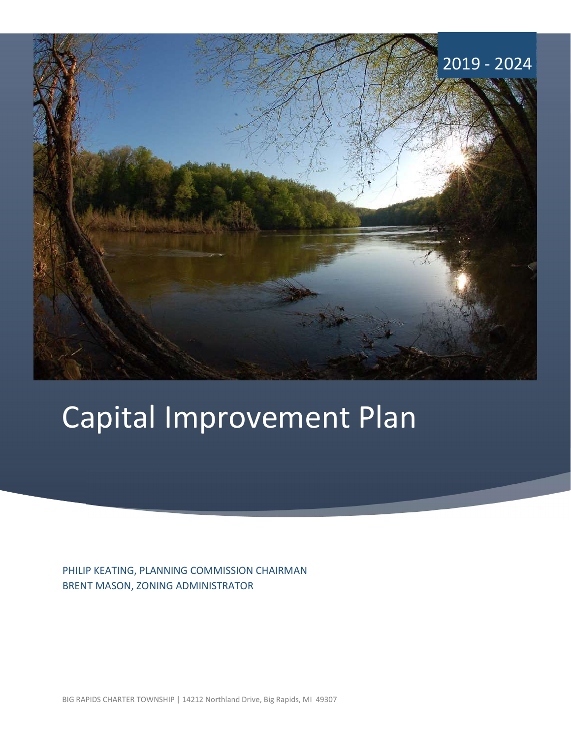

# Capital Improvement Plan

PHILIP KEATING, PLANNING COMMISSION CHAIRMAN BRENT MASON, ZONING ADMINISTRATOR

BIG RAPIDS CHARTER TOWNSHIP | 14212 Northland Drive, Big Rapids, MI 49307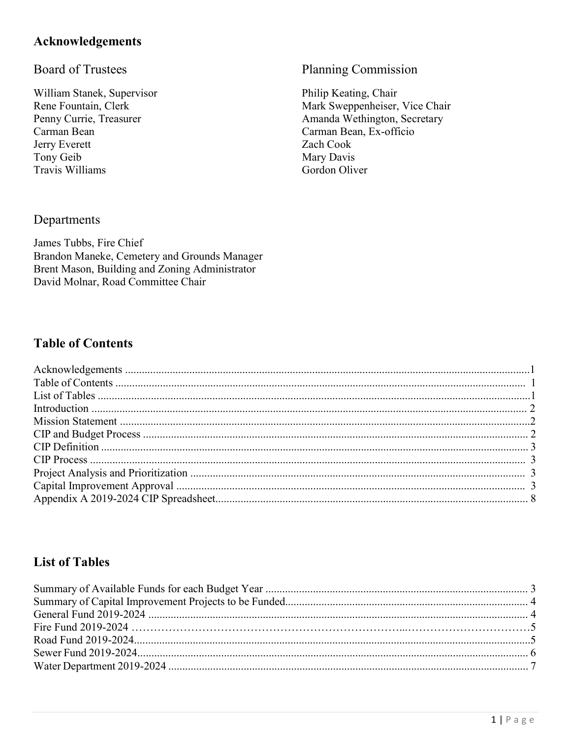# **Acknowledgements**

# **Board of Trustees**

William Stanek, Supervisor Rene Fountain, Clerk Penny Currie, Treasurer Carman Bean Jerry Everett Tony Geib Travis Williams

# Planning Commission

Philip Keating, Chair Mark Sweppenheiser, Vice Chair Amanda Wethington, Secretary Carman Bean, Ex-officio Zach Cook Mary Davis Gordon Oliver

# Departments

James Tubbs, Fire Chief Brandon Maneke, Cemetery and Grounds Manager Brent Mason, Building and Zoning Administrator David Molnar, Road Committee Chair

# **Table of Contents**

# **List of Tables**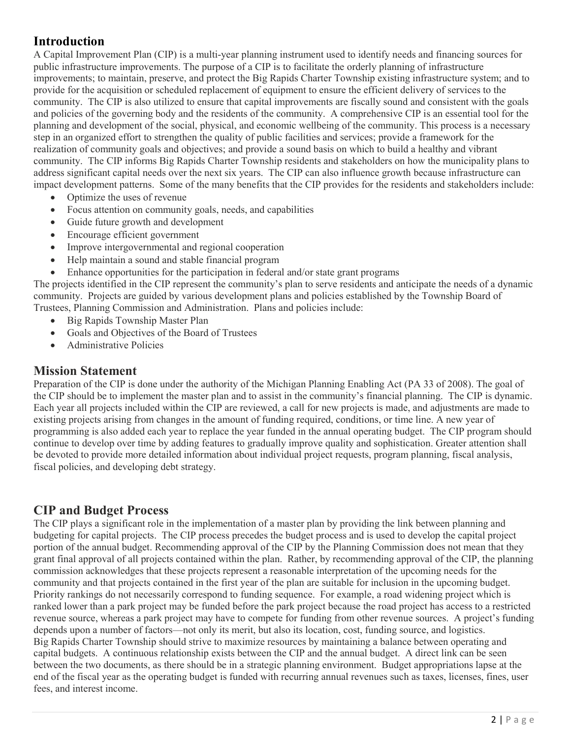# Introduction

A Capital Improvement Plan (CIP) is a multi-year planning instrument used to identify needs and financing sources for public infrastructure improvements. The purpose of a CIP is to facilitate the orderly planning of infrastructure improvements; to maintain, preserve, and protect the Big Rapids Charter Township existing infrastructure system; and to provide for the acquisition or scheduled replacement of equipment to ensure the efficient delivery of services to the community. The CIP is also utilized to ensure that capital improvements are fiscally sound and consistent with the goals and policies of the governing body and the residents of the community. A comprehensive CIP is an essential tool for the planning and development of the social, physical, and economic wellbeing of the community. This process is a necessary step in an organized effort to strengthen the quality of public facilities and services; provide a framework for the realization of community goals and objectives; and provide a sound basis on which to build a healthy and vibrant community. The CIP informs Big Rapids Charter Township residents and stakeholders on how the municipality plans to address significant capital needs over the next six years. The CIP can also influence growth because infrastructure can impact development patterns. Some of the many benefits that the CIP provides for the residents and stakeholders include:

- Optimize the uses of revenue
- Focus attention on community goals, needs, and capabilities
- Guide future growth and development
- Encourage efficient government
- Improve intergovernmental and regional cooperation
- Help maintain a sound and stable financial program
- Enhance opportunities for the participation in federal and/or state grant programs

The projects identified in the CIP represent the community's plan to serve residents and anticipate the needs of a dynamic community. Projects are guided by various development plans and policies established by the Township Board of Trustees, Planning Commission and Administration. Plans and policies include:

- Big Rapids Township Master Plan
- Goals and Objectives of the Board of Trustees
- Administrative Policies

# Mission Statement

Preparation of the CIP is done under the authority of the Michigan Planning Enabling Act (PA 33 of 2008). The goal of the CIP should be to implement the master plan and to assist in the community's financial planning. The CIP is dynamic. Each year all projects included within the CIP are reviewed, a call for new projects is made, and adjustments are made to existing projects arising from changes in the amount of funding required, conditions, or time line. A new year of programming is also added each year to replace the year funded in the annual operating budget. The CIP program should continue to develop over time by adding features to gradually improve quality and sophistication. Greater attention shall be devoted to provide more detailed information about individual project requests, program planning, fiscal analysis, fiscal policies, and developing debt strategy.

# CIP and Budget Process

The CIP plays a significant role in the implementation of a master plan by providing the link between planning and budgeting for capital projects. The CIP process precedes the budget process and is used to develop the capital project portion of the annual budget. Recommending approval of the CIP by the Planning Commission does not mean that they grant final approval of all projects contained within the plan. Rather, by recommending approval of the CIP, the planning commission acknowledges that these projects represent a reasonable interpretation of the upcoming needs for the community and that projects contained in the first year of the plan are suitable for inclusion in the upcoming budget. Priority rankings do not necessarily correspond to funding sequence. For example, a road widening project which is ranked lower than a park project may be funded before the park project because the road project has access to a restricted revenue source, whereas a park project may have to compete for funding from other revenue sources. A project's funding depends upon a number of factors—not only its merit, but also its location, cost, funding source, and logistics. Big Rapids Charter Township should strive to maximize resources by maintaining a balance between operating and capital budgets. A continuous relationship exists between the CIP and the annual budget. A direct link can be seen between the two documents, as there should be in a strategic planning environment. Budget appropriations lapse at the end of the fiscal year as the operating budget is funded with recurring annual revenues such as taxes, licenses, fines, user fees, and interest income.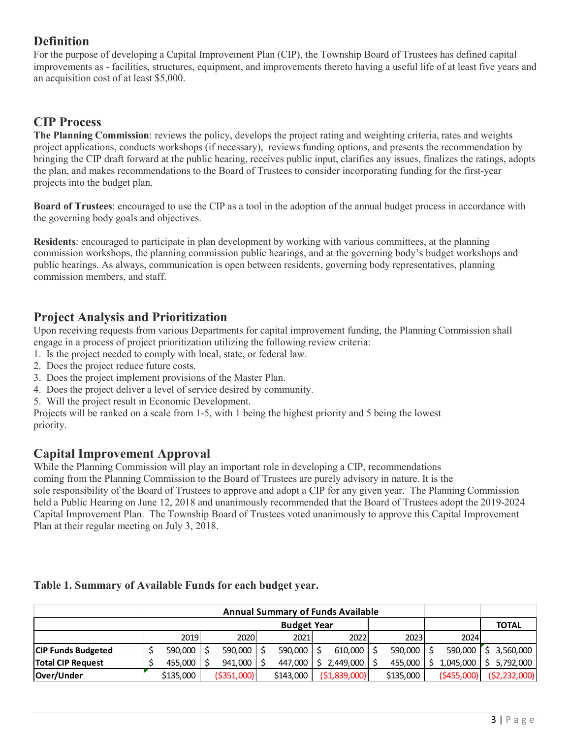# **Definition**

For the purpose of developing a Capital Improvement Plan (CIP), the Township Board of Trustees has defined capital improvements as - facilities, structures, equipment, and improvements thereto having a useful life of at least five years and an acquisition cost of at least \$5,000.

# CIP Process

The Planning Commission: reviews the policy, develops the project rating and weighting criteria, rates and weights project applications, conducts workshops (if necessary), reviews funding options, and presents the recommendation by bringing the CIP draft forward at the public hearing, receives public input, clarifies any issues, finalizes the ratings, adopts the plan, and makes recommendations to the Board of Trustees to consider incorporating funding for the first-year projects into the budget plan.

Board of Trustees: encouraged to use the CIP as a tool in the adoption of the annual budget process in accordance with the governing body goals and objectives.

Residents: encouraged to participate in plan development by working with various committees, at the planning commission workshops, the planning commission public hearings, and at the governing body's budget workshops and public hearings. As always, communication is open between residents, governing body representatives, planning commission members, and staff.

# Project Analysis and Prioritization

Upon receiving requests from various Departments for capital improvement funding, the Planning Commission shall engage in a process of project prioritization utilizing the following review criteria:

- 1. Is the project needed to comply with local, state, or federal law.
- 2. Does the project reduce future costs.
- 3. Does the project implement provisions of the Master Plan.
- 4. Does the project deliver a level of service desired by community.
- 5. Will the project result in Economic Development.

# Capital Improvement Approval

| <b>Capital Improvement Approval</b><br>While the Planning Commission will play an important role in developing a CIP, recommendations<br>coming from the Planning Commission to the Board of Trustees are purely advisory in nature. It is the<br>sole responsibility of the Board of Trustees to approve and adopt a CIP for any given year. The Planning Commission<br>held a Public Hearing on June 12, 2018 and unanimously recommended that the Board of Trustees adopt the 2019-2024<br>Capital Improvement Plan. The Township Board of Trustees voted unanimously to approve this Capital Improvement<br>Plan at their regular meeting on July 3, 2018. |
|----------------------------------------------------------------------------------------------------------------------------------------------------------------------------------------------------------------------------------------------------------------------------------------------------------------------------------------------------------------------------------------------------------------------------------------------------------------------------------------------------------------------------------------------------------------------------------------------------------------------------------------------------------------|
| Table 1. Summary of Available Funds for each budget year.                                                                                                                                                                                                                                                                                                                                                                                                                                                                                                                                                                                                      |
| <b>Annual Summary of Funds Available</b>                                                                                                                                                                                                                                                                                                                                                                                                                                                                                                                                                                                                                       |
| <b>TOTAL</b><br><b>Budget Year</b>                                                                                                                                                                                                                                                                                                                                                                                                                                                                                                                                                                                                                             |
| 2019<br>2020<br>2022<br>2023<br>2024<br>2021                                                                                                                                                                                                                                                                                                                                                                                                                                                                                                                                                                                                                   |
| \$<br>610,000<br>590,000<br>590,000<br><b>CIP Funds Budgeted</b><br>590,000<br>590,000<br>590,000<br>Ŝ.<br>3,560,000                                                                                                                                                                                                                                                                                                                                                                                                                                                                                                                                           |
| Ś<br>Ś.<br>$2,449,000$ \$<br><b>Total CIP Request</b><br>941,000<br>447,000<br>455,000<br>1,045,000<br>Ŝ.<br>5,792,000<br>455,000<br>Ŝ.                                                                                                                                                                                                                                                                                                                                                                                                                                                                                                                        |
| ( \$1,839,000]<br>( \$455,000)<br>Over/Under<br>\$135,000<br>( \$351,000)<br>\$143,000<br>\$135,000<br>(52, 232, 000)                                                                                                                                                                                                                                                                                                                                                                                                                                                                                                                                          |

# Table 1. Summary of Available Funds for each budget year.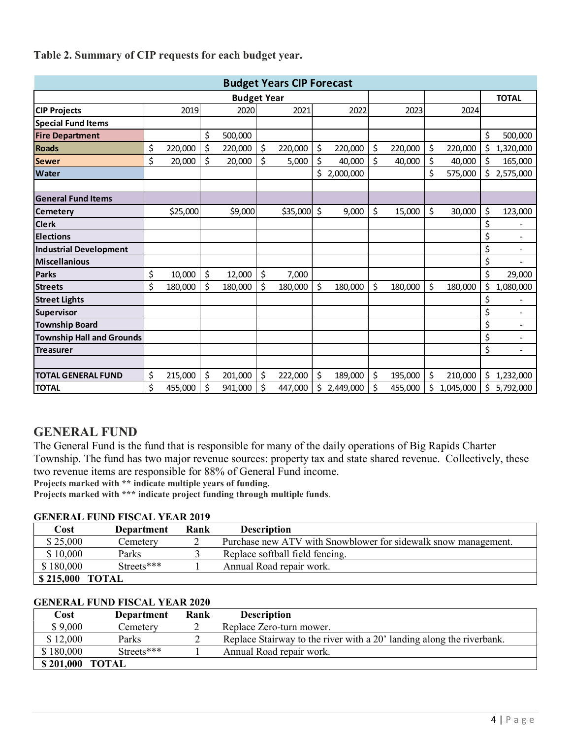**TOTAL** Fable 2. Summary of CIP requests for each budget year.<br> **Budget Years CIP Forecast**<br> **CIP Projects**<br> **CIP Projects**<br> **CIP Projects**<br> **CIP Projects**<br> **CIP Projects**<br> **CIP Projects**<br> **CIP Projects**<br> **CIP Projects**<br> **CIP Pro** Special Fund Items Fire Department | \$ 500,000 | | \$ 500,000 | Roads  $\left|\right. \right. \left. \right. \left. \right|$   $\left. \right|$   $\left. \right|$   $\left. \right|$   $\left. \right|$   $\left. \right|$   $\left. \right|$   $\left. \right|$   $\left. \right|$   $\left. \right|$   $\left. \right|$   $\left. \right|$   $\left. \right|$   $\left. \right|$   $\left. \right|$   $\left. \right|$   $\left. \right|$   $\left. \right|$   $\left. \right|$   $\left. \right|$   $\left. \right|$   $\left. \right|$   $\left$ Sewer | \$ 20,000 | \$ 20,000 | \$ 5,000 | \$ 40,000 | \$ 40,000 | \$ 40,000 | \$ 165,000 | Water \$ 575,000 2,000,000 \$ 2,575,000 \$ General Fund Items Fable 2. Summary of CIP requests for each budget year.<br>
CIP Projects<br>
Special Fund tiems<br>
Fire Department<br>
Fire Department<br>
Special Fund tiems<br>
Special Fire Department<br>
Special Special Special Special Special Special Speci Clerk \$ - Elections \$ - Industrial Development \$ - Miscellanious \$ - Parks | \$ 10,000 | \$ 12,000 | \$ 7,000 | | | \$ 29,000 | Streets | \$ 180,000 | \$ 180,000 | \$ 180,000 | \$ 180,000 | \$ 180,000 | \$ 1,080,000 | Street Lights \$ - Supervisor \$ - Township Board \$ - Township Hall and Grounds **by a struck of the contract of the contract of the contract of the contract of the con** Treasurer \$ - TOTAL GENERAL FUND  $\left| \begin{array}{cc} \xi & 215,000 \end{array} \right| \left. \begin{array}{ccc} \xi & 201,000 \end{array} \right| \left. \begin{array}{ccc} \xi & 222,000 \end{array} \right| \left. \begin{array}{cc} \xi & 189,000 \end{array} \right| \left. \begin{array}{cc} \xi & 195,000 \end{array} \right| \left. \begin{array}{cc} \xi & 210,000 \end{array} \right| \left. \begin{array}{cc} \xi & 1,232,000 \end{array}$ TOTAL \$ 941,000 455,000 \$ 447,000 \$ 2,449,000 \$ 455,000 \$ 1,045,000 \$ 5,792,000 \$ Budget Years CIP Forecast Budget Year

## Table 2. Summary of CIP requests for each budget year.

# GENERAL FUND

The General Fund is the fund that is responsible for many of the daily operations of Big Rapids Charter Township. The fund has two major revenue sources: property tax and state shared revenue. Collectively, these two revenue items are responsible for 88% of General Fund income.

Projects marked with \*\* indicate multiple years of funding.

Projects marked with \*\*\* indicate project funding through multiple funds.

## GENERAL FUND FISCAL YEAR 2019

| Cost                                                | Department | Rank | <b>Description</b>                                             |
|-----------------------------------------------------|------------|------|----------------------------------------------------------------|
| \$25,000                                            | Cemetery   |      | Purchase new ATV with Snowblower for sidewalk snow management. |
| \$10,000                                            | Parks      |      | Replace softball field fencing.                                |
| Streets***<br>\$180,000<br>Annual Road repair work. |            |      |                                                                |
| \$215,000 TOTAL                                     |            |      |                                                                |

## GENERAL FUND FISCAL YEAR 2020

| Cost            | <b>Department</b> | Rank | <b>Description</b>                                                    |
|-----------------|-------------------|------|-----------------------------------------------------------------------|
| \$9,000         | Cemeterv          |      | Replace Zero-turn mower.                                              |
| \$12,000        | Parks             |      | Replace Stairway to the river with a 20' landing along the riverbank. |
| \$180,000       | Streets***        |      | Annual Road repair work.                                              |
| \$201,000 TOTAL |                   |      |                                                                       |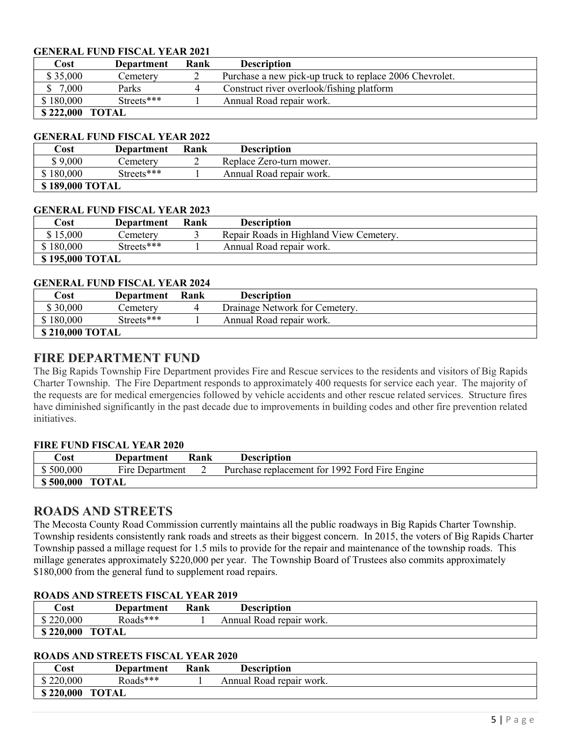## GENERAL FUND FISCAL YEAR 2021

| Cost                                                | Department | Rank | <b>Description</b>                                      |
|-----------------------------------------------------|------------|------|---------------------------------------------------------|
| \$35,000                                            | Cemetery   |      | Purchase a new pick-up truck to replace 2006 Chevrolet. |
| 7,000                                               | Parks      | 4    | Construct river overlook/fishing platform               |
| Streets***<br>\$180,000<br>Annual Road repair work. |            |      |                                                         |
| \$222,000 TOTAL                                     |            |      |                                                         |

## GENERAL FUND FISCAL YEAR 2022

| Cost      | <b>Department</b> | Rank | <b>Description</b>       |  |  |  |
|-----------|-------------------|------|--------------------------|--|--|--|
| \$9,000   | Cemeterv          |      | Replace Zero-turn mower. |  |  |  |
| \$180,000 | Streets***        |      | Annual Road repair work. |  |  |  |
|           | \$189,000 TOTAL   |      |                          |  |  |  |

## GENERAL FUND FISCAL YEAR 2023

| $\mathsf{Cost}$                                     | Department      | Rank | <b>Description</b>                      |  |  |  |
|-----------------------------------------------------|-----------------|------|-----------------------------------------|--|--|--|
| \$15,000                                            | Cemeterv        |      | Repair Roads in Highland View Cemetery. |  |  |  |
| \$180,000<br>Streets***<br>Annual Road repair work. |                 |      |                                         |  |  |  |
|                                                     | \$195,000 TOTAL |      |                                         |  |  |  |

#### GENERAL FUND FISCAL YEAR 2024

| Cost      | Department      | Rank | <b>Description</b>             |  |  |  |
|-----------|-----------------|------|--------------------------------|--|--|--|
| \$30,000  | Cemeterv        |      | Drainage Network for Cemetery. |  |  |  |
| \$180,000 | Streets***      |      | Annual Road repair work.       |  |  |  |
|           | \$210,000 TOTAL |      |                                |  |  |  |

## FIRE DEPARTMENT FUND

The Big Rapids Township Fire Department provides Fire and Rescue services to the residents and visitors of Big Rapids Charter Township. The Fire Department responds to approximately 400 requests for service each year. The majority of the requests are for medical emergencies followed by vehicle accidents and other rescue related services. Structure fires have diminished significantly in the past decade due to improvements in building codes and other fire prevention related initiatives.

## FIRE FUND FISCAL YEAR 2020

| Cost      | Department      | Rank | <b>Description</b>                             |
|-----------|-----------------|------|------------------------------------------------|
| \$500,000 | Fire Department |      | Purchase replacement for 1992 Ford Fire Engine |
| \$500,000 | TOTAL           |      |                                                |

# ROADS AND STREETS

The Mecosta County Road Commission currently maintains all the public roadways in Big Rapids Charter Township. Township residents consistently rank roads and streets as their biggest concern. In 2015, the voters of Big Rapids Charter Township passed a millage request for 1.5 mils to provide for the repair and maintenance of the township roads. This millage generates approximately \$220,000 per year. The Township Board of Trustees also commits approximately \$180,000 from the general fund to supplement road repairs.

## ROADS AND STREETS FISCAL YEAR 2019

| Cost      | Department   | <b>Rank</b> | <b>Description</b>       |  |
|-----------|--------------|-------------|--------------------------|--|
| \$220,000 | Roads***     |             | Annual Road repair work. |  |
| \$220,000 | <b>TOTAL</b> |             |                          |  |

#### ROADS AND STREETS FISCAL YEAR 2020

| Cost      | Department   | Rank | <b>Description</b>       |  |
|-----------|--------------|------|--------------------------|--|
| \$220,000 | Roads***     |      | Annual Road repair work. |  |
| \$220,000 | <b>TOTAL</b> |      |                          |  |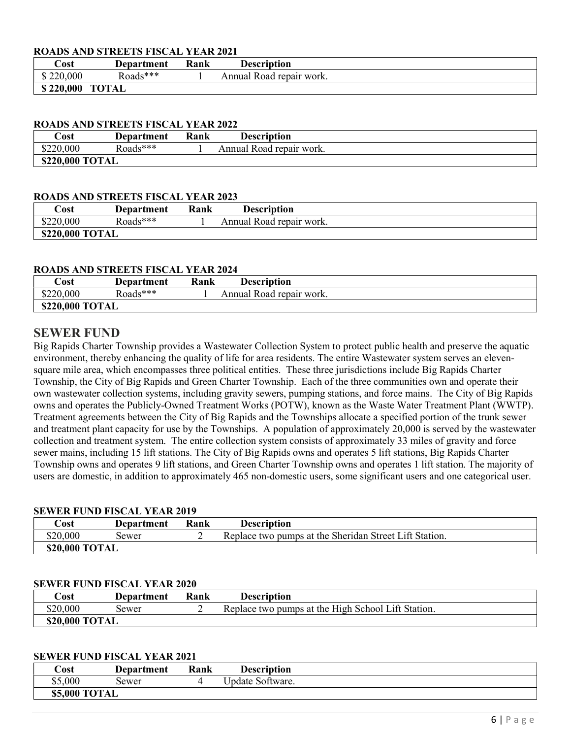## ROADS AND STREETS FISCAL YEAR 2021

| Cost      | <b>Department</b> | Rank | Description              |  |
|-----------|-------------------|------|--------------------------|--|
| \$220,000 | Roads***          |      | Annual Road repair work. |  |
| \$220,000 | <b>TOTAL</b>      |      |                          |  |

## ROADS AND STREETS FISCAL YEAR 2022

| Cost            | Department | Rank | <b>Description</b>       |  |  |
|-----------------|------------|------|--------------------------|--|--|
| \$220,000       | Roads***   |      | Annual Road repair work. |  |  |
| \$220,000 TOTAL |            |      |                          |  |  |

#### ROADS AND STREETS FISCAL YEAR 2023

| Cost            | Department | Rank | <b>Description</b>       |  |
|-----------------|------------|------|--------------------------|--|
| \$220,000       | Roads***   |      | Annual Road repair work. |  |
| \$220,000 TOTAL |            |      |                          |  |

#### ROADS AND STREETS FISCAL YEAR 2024

| Cost            | Department | Rank | <b>Description</b>       |  |
|-----------------|------------|------|--------------------------|--|
| \$220,000       | Roads***   |      | Annual Road repair work. |  |
| \$220,000 TOTAL |            |      |                          |  |

# SEWER FUND

Big Rapids Charter Township provides a Wastewater Collection System to protect public health and preserve the aquatic environment, thereby enhancing the quality of life for area residents. The entire Wastewater system serves an elevensquare mile area, which encompasses three political entities. These three jurisdictions include Big Rapids Charter Township, the City of Big Rapids and Green Charter Township. Each of the three communities own and operate their own wastewater collection systems, including gravity sewers, pumping stations, and force mains. The City of Big Rapids owns and operates the Publicly-Owned Treatment Works (POTW), known as the Waste Water Treatment Plant (WWTP). Treatment agreements between the City of Big Rapids and the Townships allocate a specified portion of the trunk sewer and treatment plant capacity for use by the Townships. A population of approximately 20,000 is served by the wastewater collection and treatment system. The entire collection system consists of approximately 33 miles of gravity and force sewer mains, including 15 lift stations. The City of Big Rapids owns and operates 5 lift stations, Big Rapids Charter Township owns and operates 9 lift stations, and Green Charter Township owns and operates 1 lift station. The majority of users are domestic, in addition to approximately 465 non-domestic users, some significant users and one categorical user.

#### SEWER FUND FISCAL YEAR 2019

| Cost           | Department | Rank | <b>Description</b>                                     |
|----------------|------------|------|--------------------------------------------------------|
| \$20,000       | sewer      |      | Replace two pumps at the Sheridan Street Lift Station. |
| \$20,000 TOTAL |            |      |                                                        |

#### SEWER FUND FISCAL YEAR 2020

| Cost           | Department | Rank | <b>Description</b>                                 |
|----------------|------------|------|----------------------------------------------------|
| \$20,000       | Sewer      |      | Replace two pumps at the High School Lift Station. |
| \$20,000 TOTAL |            |      |                                                    |

#### SEWER FUND FISCAL YEAR 2021

| Cost          | <b>Department</b> | Rank | <b>Description</b> |  |
|---------------|-------------------|------|--------------------|--|
| \$5,000       | Sewer             |      | Update Software.   |  |
| \$5,000 TOTAL |                   |      |                    |  |